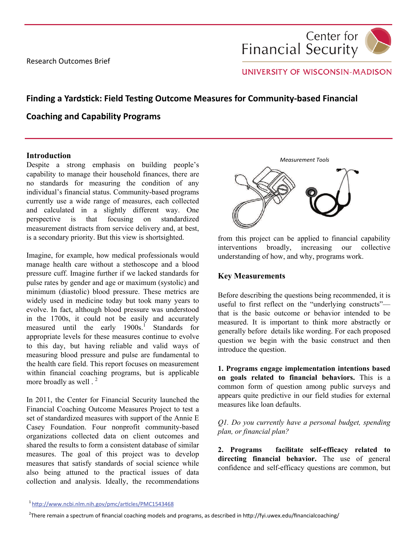Research Outcomes Brief



# UNIVERSITY OF WISCONSIN-MADISON

# **Finding a Yardstick: Field Testing Outcome Measures for Community-based Financial**

# **Coaching and Capability Programs**

#### **Introduction**

Despite a strong emphasis on building people's capability to manage their household finances, there are no standards for measuring the condition of any individual's financial status. Community-based programs currently use a wide range of measures, each collected and calculated in a slightly different way. One perspective is that focusing on standardized measurement distracts from service delivery and, at best, is a secondary priority. But this view is shortsighted.

Imagine, for example, how medical professionals would manage health care without a stethoscope and a blood pressure cuff. Imagine further if we lacked standards for pulse rates by gender and age or maximum (systolic) and minimum (diastolic) blood pressure. These metrics are widely used in medicine today but took many years to evolve. In fact, although blood pressure was understood in the 1700s, it could not be easily and accurately measured until the early  $1900s$ <sup>1</sup> Standards for appropriate levels for these measures continue to evolve to this day, but having reliable and valid ways of measuring blood pressure and pulse are fundamental to the health care field. This report focuses on measurement within financial coaching programs, but is applicable more broadly as well . <sup>2</sup>

In 2011, the Center for Financial Security launched the Financial Coaching Outcome Measures Project to test a set of standardized measures with support of the Annie E Casey Foundation. Four nonprofit community-based organizations collected data on client outcomes and shared the results to form a consistent database of similar measures. The goal of this project was to develop measures that satisfy standards of social science while also being attuned to the practical issues of data collection and analysis. Ideally, the recommendations



from this project can be applied to financial capability interventions broadly, increasing our collective understanding of how, and why, programs work.

## **Key Measurements**

Before describing the questions being recommended, it is useful to first reflect on the "underlying constructs" that is the basic outcome or behavior intended to be measured. It is important to think more abstractly or generally before details like wording. For each proposed question we begin with the basic construct and then introduce the question.

**1. Programs engage implementation intentions based on goals related to financial behaviors.** This is a common form of question among public surveys and appears quite predictive in our field studies for external measures like loan defaults.

*Q1. Do you currently have a personal budget, spending plan, or financial plan?* 

**2. Programs facilitate self-efficacy related to directing financial behavior.** The use of general confidence and self-efficacy questions are common, but

<sup>1</sup> htt[p://www.ncbi.nlm.nih.gov/pmc/ar](http://www.ncbi.nlm.nih.gov/pmc/articles/PMC1543468)ticles/PMC1543468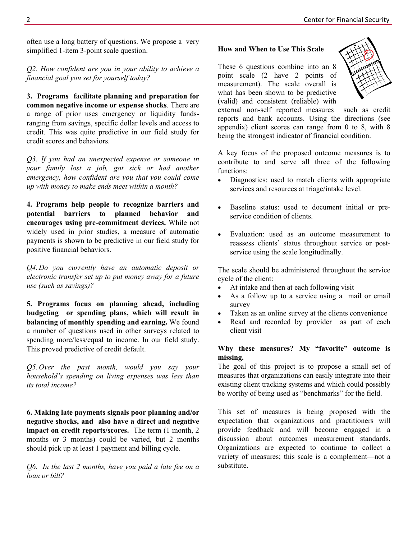often use a long battery of questions. We propose a very simplified 1-item 3-point scale question.

*Q2. How confident are you in your ability to achieve a financial goal you set for yourself today?* 

**3. Programs facilitate planning and preparation for common negative income or expense shocks***.* There are a range of prior uses emergency or liquidity fundsranging from savings, specific dollar levels and access to credit. This was quite predictive in our field study for credit scores and behaviors.

*Q3. If you had an unexpected expense or someone in your family lost a job, got sick or had another emergency, how confident are you that you could come up with money to make ends meet within a month?* 

**4. Programs help people to recognize barriers and potential barriers to planned behavior and encourages using pre-commitment devices.** While not widely used in prior studies, a measure of automatic payments is shown to be predictive in our field study for positive financial behaviors.

*Q4. Do you currently have an automatic deposit or electronic transfer set up to put money away for a future use (such as savings)?* 

**5. Programs focus on planning ahead, including budgeting or spending plans, which will result in balancing of monthly spending and earning.** We found a number of questions used in other surveys related to spending more/less/equal to income. In our field study. This proved predictive of credit default.

*Q5. Over the past month, would you say your household's spending on living expenses was less than its total income?* 

**6. Making late payments signals poor planning and/or negative shocks, and also have a direct and negative impact on credit reports/scores.** The term (1 month, 2 months or 3 months) could be varied, but 2 months should pick up at least 1 payment and billing cycle.

*Q6. In the last 2 months, have you paid a late fee on a loan or bill?* 

#### **How and When to Use This Scale**

These 6 questions combine into an 8 point scale (2 have 2 points of measurement). The scale overall is what has been shown to be predictive (valid) and consistent (reliable) with



external non-self reported measures such as credit reports and bank accounts. Using the directions (see appendix) client scores can range from 0 to 8, with 8 being the strongest indicator of financial condition.

A key focus of the proposed outcome measures is to contribute to and serve all three of the following functions:

- Diagnostics: used to match clients with appropriate services and resources at triage/intake level.
- Baseline status: used to document initial or preservice condition of clients.
- Evaluation: used as an outcome measurement to reassess clients' status throughout service or postservice using the scale longitudinally.

The scale should be administered throughout the service cycle of the client:

- At intake and then at each following visit
- As a follow up to a service using a mail or email survey
- Taken as an online survey at the clients convenience
- Read and recorded by provider as part of each client visit

## **Why these measures? My "favorite" outcome is missing.**

The goal of this project is to propose a small set of measures that organizations can easily integrate into their existing client tracking systems and which could possibly be worthy of being used as "benchmarks" for the field.

This set of measures is being proposed with the expectation that organizations and practitioners will provide feedback and will become engaged in a discussion about outcomes measurement standards. Organizations are expected to continue to collect a variety of measures; this scale is a complement—not a substitute.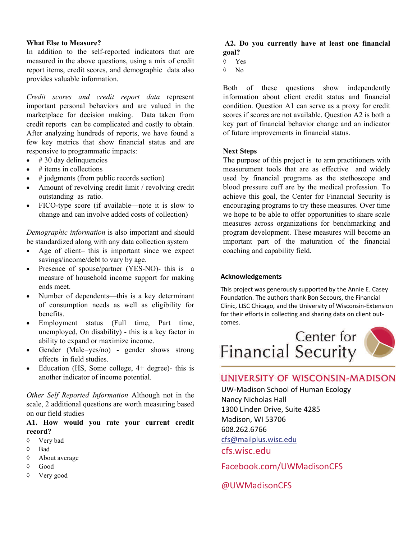#### **What Else to Measure?**

In addition to the self-reported indicators that are measured in the above questions, using a mix of credit report items, credit scores, and demographic data also provides valuable information.

*Credit scores and credit report data* represent important personal behaviors and are valued in the marketplace for decision making. Data taken from credit reports can be complicated and costly to obtain. After analyzing hundreds of reports, we have found a few key metrics that show financial status and are responsive to programmatic impacts:

- $\bullet$  # 30 day delinquencies
- $\bullet$  # items in collections
- # judgments (from public records section)
- Amount of revolving credit limit / revolving credit outstanding as ratio.
- FICO-type score (if available—note it is slow to change and can involve added costs of collection)

*Demographic information* is also important and should be standardized along with any data collection system

- Age of client– this is important since we expect savings/income/debt to vary by age.
- Presence of spouse/partner (YES-NO)- this is a measure of household income support for making ends meet.
- Number of dependents—this is a key determinant of consumption needs as well as eligibility for benefits.
- Employment status (Full time, Part time, unemployed, On disability) - this is a key factor in ability to expand or maximize income.
- Gender (Male=yes/no) gender shows strong effects in field studies.
- Education (HS, Some college, 4+ degree)- this is another indicator of income potential.

*Other Self Reported Information* Although not in the scale, 2 additional questions are worth measuring based on our field studies

### **A1. How would you rate your current credit record?**

- Very bad
- Bad
- About average
- Good
- Very good

## **A2. Do you currently have at least one financial goal?**

- $\lozenge$  Yes
- $\lozenge$  No

Both of these questions show independently information about client credit status and financial condition. Question A1 can serve as a proxy for credit scores if scores are not available. Question A2 is both a key part of financial behavior change and an indicator of future improvements in financial status.

#### **Next Steps**

The purpose of this project is to arm practitioners with measurement tools that are as effective and widely used by financial programs as the stethoscope and blood pressure cuff are by the medical profession. To achieve this goal, the Center for Financial Security is encouraging programs to try these measures. Over time we hope to be able to offer opportunities to share scale measures across organizations for benchmarking and program development. These measures will become an important part of the maturation of the financial coaching and capability field.

#### **Acknowledgements**

This project was generously supported by the Annie E. Casey Foundation. The authors thank Bon Secours, the Financial Clinic, LISC Chicago, and the University of Wisconsin‐Extension for their efforts in collecting and sharing data on client outcomes.



# **UNIVERSITY OF WISCONSIN-MADISON**

UW‐Madison School of Human Ecology Nancy Nicholas Hall 1300 Linden Drive, Suite 4285 Madison, WI 53706 608.262.6766 [cfs@mailplus.wisc.edu](mailto:cfs@mailplus.wisc.edu) [cfs.wisc.edu](http://www.cfs.wisc.edu)

[Facebook.com/UWMadisonCFS](https://www.Facebook.com/UWMadisonCFS)

[@UWMadisonCFS](https://twitter.com/UWMadisonCFS)